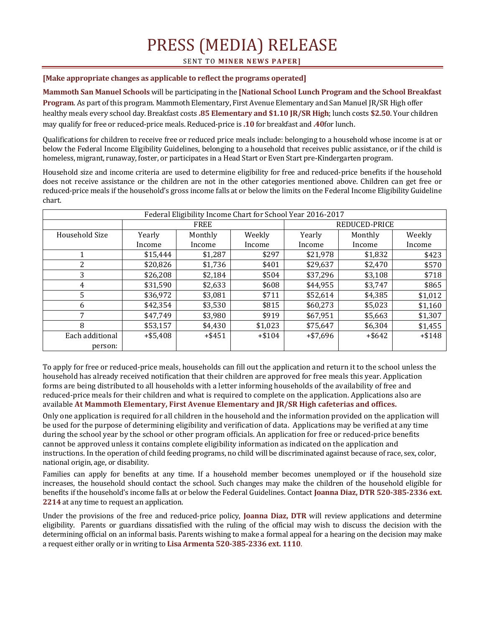## PRESS (MEDIA) RELEASE

**SENT TO MINER NEWS PAPER]** 

## **[Make appropriate changes as applicable to reflect the programs operated]**

**Mammoth San Manuel Schools** will be participating in the **[National School Lunch Program and the School Breakfast Program**. As part of this program. Mammoth Elementary, First Avenue Elementary and San Manuel JR/SR High offer healthy meals every school day. Breakfast costs **.85 Elementary and \$1.10 JR/SR High**; lunch costs **\$2.50**. Your children may qualify for free or reduced-price meals. Reduced-price is **.10** for breakfast and **.40**for lunch.

Qualifications for children to receive free or reduced price meals include: belonging to a household whose income is at or below the Federal Income Eligibility Guidelines, belonging to a household that receives public assistance, or if the child is homeless, migrant, runaway, foster, or participates in a Head Start or Even Start pre-Kindergarten program.

Household size and income criteria are used to determine eligibility for free and reduced-price benefits if the household does not receive assistance or the children are not in the other categories mentioned above. Children can get free or reduced-price meals if the household's gross income falls at or below the limits on the Federal Income Eligibility Guideline chart.

| Federal Eligibility Income Chart for School Year 2016-2017 |            |           |          |               |           |          |
|------------------------------------------------------------|------------|-----------|----------|---------------|-----------|----------|
|                                                            | FREE       |           |          | REDUCED-PRICE |           |          |
| Household Size                                             | Yearly     | Monthly   | Weekly   | Yearly        | Monthly   | Weekly   |
|                                                            | Income     | Income    | Income   | Income        | Income    | Income   |
|                                                            | \$15,444   | \$1,287   | \$297    | \$21,978      | \$1,832   | \$423    |
| 2                                                          | \$20,826   | \$1,736   | \$401    | \$29,637      | \$2,470   | \$570    |
| 3                                                          | \$26,208   | \$2,184   | \$504    | \$37,296      | \$3,108   | \$718    |
| 4                                                          | \$31,590   | \$2,633   | \$608    | \$44,955      | \$3,747   | \$865    |
| 5                                                          | \$36,972   | \$3,081   | \$711    | \$52,614      | \$4,385   | \$1,012  |
| 6                                                          | \$42,354   | \$3,530   | \$815    | \$60,273      | \$5,023   | \$1,160  |
|                                                            | \$47,749   | \$3,980   | \$919    | \$67,951      | \$5,663   | \$1,307  |
| 8                                                          | \$53,157   | \$4,430   | \$1,023  | \$75,647      | \$6,304   | \$1,455  |
| Each additional                                            | $+ $5,408$ | $+$ \$451 | $+ $104$ | $+ $7,696$    | $+$ \$642 | $+ $148$ |
| person:                                                    |            |           |          |               |           |          |

To apply for free or reduced-price meals, households can fill out the application and return it to the school unless the household has already received notification that their children are approved for free meals this year. Application forms are being distributed to all households with a letter informing households of the availability of free and reduced-price meals for their children and what is required to complete on the application. Applications also are available **At Mammoth Elementary, First Avenue Elementary and JR/SR High cafeterias and offices.**

Only one application is required for all children in the household and the information provided on the application will be used for the purpose of determining eligibility and verification of data. Applications may be verified at any time during the school year by the school or other program officials. An application for free or reduced-price benefits cannot be approved unless it contains complete eligibility information as indicated on the application and instructions. In the operation of child feeding programs, no child will be discriminated against because of race, sex, color, national origin, age, or disability.

Families can apply for benefits at any time. If a household member becomes unemployed or if the household size increases, the household should contact the school. Such changes may make the children of the household eligible for benefits if the household's income falls at or below the Federal Guidelines. Contact **Joanna Diaz, DTR 520-385-2336 ext. 2214** at any time to request an application.

Under the provisions of the free and reduced-price policy, **Joanna Diaz, DTR** will review applications and determine eligibility. Parents or guardians dissatisfied with the ruling of the official may wish to discuss the decision with the determining official on an informal basis. Parents wishing to make a formal appeal for a hearing on the decision may make a request either orally or in writing to **Lisa Armenta 520-385-2336 ext. 1110**.